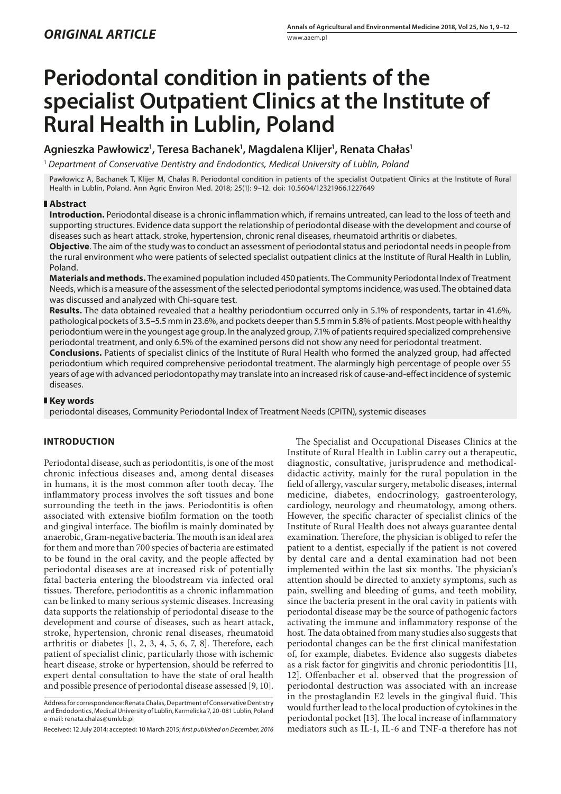# **Periodontal condition in patients of the specialist Outpatient Clinics at the Institute of Rural Health in Lublin, Poland**

# **Agnieszka Pawłowicz1 , Teresa Bachanek1 , Magdalena Klijer1 , Renata Chałas1**

<sup>1</sup> *Department of Conservative Dentistry and Endodontics, Medical University of Lublin, Poland*

Pawłowicz A, Bachanek T, Klijer M, Chałas R. Periodontal condition in patients of the specialist Outpatient Clinics at the Institute of Rural Health in Lublin, Poland. Ann Agric Environ Med. 2018; 25(1): 9–12. doi: 10.5604/12321966.1227649

## **Abstract**

**Introduction.** Periodontal disease is a chronic inflammation which, if remains untreated, can lead to the loss of teeth and supporting structures. Evidence data support the relationship of periodontal disease with the development and course of diseases such as heart attack, stroke, hypertension, chronic renal diseases, rheumatoid arthritis or diabetes.

**Objective**. The aim of the study was to conduct an assessment of periodontal status and periodontal needs in people from the rural environment who were patients of selected specialist outpatient clinics at the Institute of Rural Health in Lublin, Poland.

**Materials and methods.** The examined population included 450 patients. The Community Periodontal Index of Treatment Needs, which is a measure of the assessment of the selected periodontal symptoms incidence, was used. The obtained data was discussed and analyzed with Chi-square test.

**Results.** The data obtained revealed that a healthy periodontium occurred only in 5.1% of respondents, tartar in 41.6%, pathological pockets of 3.5–5.5 mm in 23.6%, and pockets deeper than 5.5 mm in 5.8% of patients. Most people with healthy periodontium were in the youngest age group. In the analyzed group, 7.1% of patients required specialized comprehensive periodontal treatment, and only 6.5% of the examined persons did not show any need for periodontal treatment.

**Conclusions.** Patients of specialist clinics of the Institute of Rural Health who formed the analyzed group, had affected periodontium which required comprehensive periodontal treatment. The alarmingly high percentage of people over 55 years of age with advanced periodontopathy may translate into an increased risk of cause-and-effect incidence of systemic diseases.

## **Key words**

periodontal diseases, Community Periodontal Index of Treatment Needs (CPITN), systemic diseases

# **INTRODUCTION**

Periodontal disease, such as periodontitis, is one of the most chronic infectious diseases and, among dental diseases in humans, it is the most common after tooth decay. The inflammatory process involves the soft tissues and bone surrounding the teeth in the jaws. Periodontitis is often associated with extensive biofilm formation on the tooth and gingival interface. The biofilm is mainly dominated by anaerobic, Gram-negative bacteria. The mouth is an ideal area for them and more than 700 species of bacteria are estimated to be found in the oral cavity, and the people affected by periodontal diseases are at increased risk of potentially fatal bacteria entering the bloodstream via infected oral tissues. Therefore, periodontitis as a chronic inflammation can be linked to many serious systemic diseases. Increasing data supports the relationship of periodontal disease to the development and course of diseases, such as heart attack, stroke, hypertension, chronic renal diseases, rheumatoid arthritis or diabetes [1, 2, 3, 4, 5, 6, 7, 8]. Therefore, each patient of specialist clinic, particularly those with ischemic heart disease, stroke or hypertension, should be referred to expert dental consultation to have the state of oral health and possible presence of periodontal disease assessed [9, 10].

The Specialist and Occupational Diseases Clinics at the Institute of Rural Health in Lublin carry out a therapeutic, diagnostic, consultative, jurisprudence and methodicaldidactic activity, mainly for the rural population in the field of allergy, vascular surgery, metabolic diseases, internal medicine, diabetes, endocrinology, gastroenterology, cardiology, neurology and rheumatology, among others. However, the specific character of specialist clinics of the Institute of Rural Health does not always guarantee dental examination. Therefore, the physician is obliged to refer the patient to a dentist, especially if the patient is not covered by dental care and a dental examination had not been implemented within the last six months. The physician's attention should be directed to anxiety symptoms, such as pain, swelling and bleeding of gums, and teeth mobility, since the bacteria present in the oral cavity in patients with periodontal disease may be the source of pathogenic factors activating the immune and inflammatory response of the host. The data obtained from many studies also suggests that periodontal changes can be the first clinical manifestation of, for example, diabetes. Evidence also suggests diabetes as a risk factor for gingivitis and chronic periodontitis [11, 12]. Offenbacher et al. observed that the progression of periodontal destruction was associated with an increase in the prostaglandin E2 levels in the gingival fluid. This would further lead to the local production of cytokines in the periodontal pocket [13]. The local increase of inflammatory mediators such as IL-1, IL-6 and TNF-α therefore has not

Address for correspondence: Renata Chałas, Department of Conservative Dentistry and Endodontics, Medical University of Lublin, Karmelicka 7, 20-081 Lublin, Poland e-mail: renata.chalas@umlub.pl

Received: 12 July 2014; accepted: 10 March 2015; *first published on December, 2016*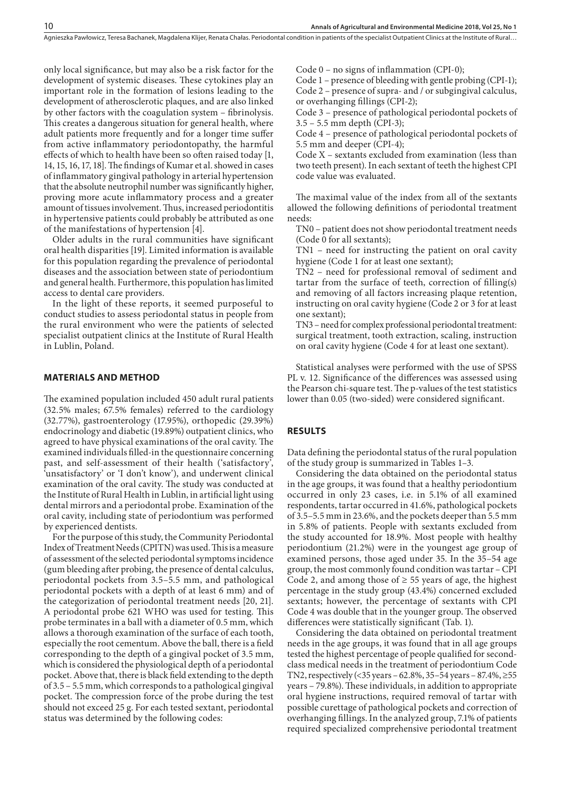Agnieszka Pawłowicz, Teresa Bachanek, Magdalena Klijer, Renata Chałas . Periodontal condition in patients of the specialist Outpatient Clinics at the Institute of Rural…

only local significance, but may also be a risk factor for the development of systemic diseases. These cytokines play an important role in the formation of lesions leading to the development of atherosclerotic plaques, and are also linked by other factors with the coagulation system – fibrinolysis. This creates a dangerous situation for general health, where adult patients more frequently and for a longer time suffer from active inflammatory periodontopathy, the harmful effects of which to health have been so often raised today [1, 14, 15, 16, 17, 18]. The findings of Kumar et al. showed in cases of inflammatory gingival pathology in arterial hypertension that the absolute neutrophil number was significantly higher, proving more acute inflammatory process and a greater amount of tissues involvement. Thus, increased periodontitis in hypertensive patients could probably be attributed as one of the manifestations of hypertension [4].

Older adults in the rural communities have significant oral health disparities [19]. Limited information is available for this population regarding the prevalence of periodontal diseases and the association between state of periodontium and general health. Furthermore, this population has limited access to dental care providers.

In the light of these reports, it seemed purposeful to conduct studies to assess periodontal status in people from the rural environment who were the patients of selected specialist outpatient clinics at the Institute of Rural Health in Lublin, Poland.

#### **MATERIALS AND METHOD**

The examined population included 450 adult rural patients (32.5% males; 67.5% females) referred to the cardiology (32.77%), gastroenterology (17.95%), orthopedic (29.39%) endocrinology and diabetic (19.89%) outpatient clinics, who agreed to have physical examinations of the oral cavity. The examined individuals filled-in the questionnaire concerning past, and self-assessment of their health ('satisfactory', 'unsatisfactory' or 'I don't know'), and underwent clinical examination of the oral cavity. The study was conducted at the Institute of Rural Health in Lublin, in artificial light using dental mirrors and a periodontal probe. Examination of the oral cavity, including state of periodontium was performed by experienced dentists.

For the purpose of this study, the Community Periodontal Index of Treatment Needs (CPITN) was used. This is a measure of assessment of the selected periodontal symptoms incidence (gum bleeding after probing, the presence of dental calculus, periodontal pockets from 3.5–5.5 mm, and pathological periodontal pockets with a depth of at least 6 mm) and of the categorization of periodontal treatment needs [20, 21]. A periodontal probe 621 WHO was used for testing. This probe terminates in a ball with a diameter of 0.5 mm, which allows a thorough examination of the surface of each tooth, especially the root cementum. Above the ball, there is a field corresponding to the depth of a gingival pocket of 3.5 mm, which is considered the physiological depth of a periodontal pocket. Above that, there is black field extending to the depth of 3.5 – 5.5 mm, which corresponds to a pathological gingival pocket. The compression force of the probe during the test should not exceed 25 g. For each tested sextant, periodontal status was determined by the following codes:

Code 0 – no signs of inflammation (CPI-0);

Code 1 – presence of bleeding with gentle probing (CPI-1); Code 2 – presence of supra- and / or subgingival calculus, or overhanging fillings (CPI-2);

Code 3 – presence of pathological periodontal pockets of 3.5 – 5.5 mm depth (CPI-3);

Code 4 – presence of pathological periodontal pockets of 5.5 mm and deeper (CPI-4);

Code X – sextants excluded from examination (less than two teeth present). In each sextant of teeth the highest CPI code value was evaluated.

The maximal value of the index from all of the sextants allowed the following definitions of periodontal treatment needs:

TN0 – patient does not show periodontal treatment needs (Code 0 for all sextants);

TN1 – need for instructing the patient on oral cavity hygiene (Code 1 for at least one sextant);

TN2 – need for professional removal of sediment and tartar from the surface of teeth, correction of filling(s) and removing of all factors increasing plaque retention, instructing on oral cavity hygiene (Code 2 or 3 for at least one sextant);

TN3 – need for complex professional periodontal treatment: surgical treatment, tooth extraction, scaling, instruction on oral cavity hygiene (Code 4 for at least one sextant).

Statistical analyses were performed with the use of SPSS PL v. 12. Significance of the differences was assessed using the Pearson chi-square test. The p-values of the test statistics lower than 0.05 (two-sided) were considered significant.

#### **RESULTS**

Data defining the periodontal status of the rural population of the study group is summarized in Tables 1–3.

Considering the data obtained on the periodontal status in the age groups, it was found that a healthy periodontium occurred in only 23 cases, i.e. in 5.1% of all examined respondents, tartar occurred in 41.6%, pathological pockets of 3.5–5.5 mm in 23.6%, and the pockets deeper than 5.5 mm in 5.8% of patients. People with sextants excluded from the study accounted for 18.9%. Most people with healthy periodontium (21.2%) were in the youngest age group of examined persons, those aged under 35. In the 35–54 age group, the most commonly found condition was tartar – CPI Code 2, and among those of  $\geq$  55 years of age, the highest percentage in the study group (43.4%) concerned excluded sextants; however, the percentage of sextants with CPI Code 4 was double that in the younger group. The observed differences were statistically significant (Tab. 1).

Considering the data obtained on periodontal treatment needs in the age groups, it was found that in all age groups tested the highest percentage of people qualified for secondclass medical needs in the treatment of periodontium Code TN2, respectively (<35 years – 62.8%, 35–54 years – 87.4%, ≥55 years – 79.8%). These individuals, in addition to appropriate oral hygiene instructions, required removal of tartar with possible curettage of pathological pockets and correction of overhanging fillings. In the analyzed group, 7.1% of patients required specialized comprehensive periodontal treatment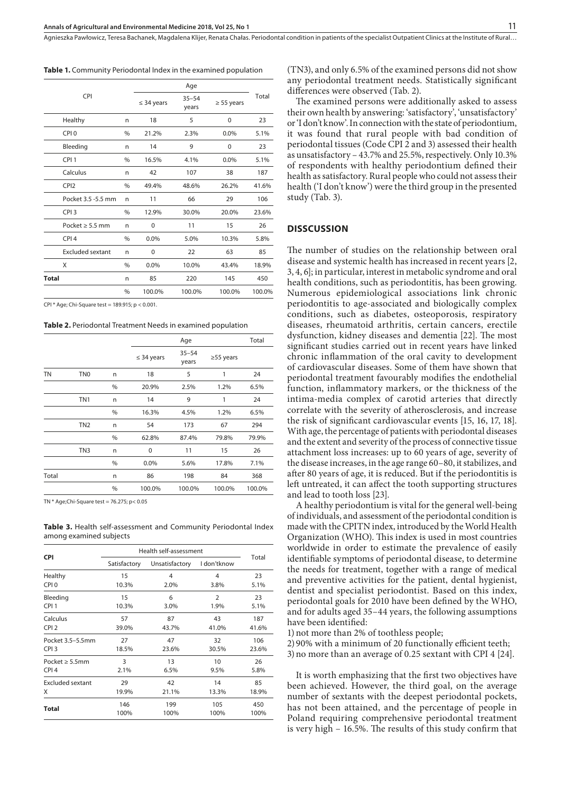Agnieszka Pawłowicz, Teresa Bachanek, Magdalena Klijer, Renata Chałas . Periodontal condition in patients of the specialist Outpatient Clinics at the Institute of Rural…

**Table 1.** Community Periodontal Index in the examined population

|       |                         | Age           |                 |                    |                 |        |
|-------|-------------------------|---------------|-----------------|--------------------|-----------------|--------|
| CPI   |                         |               | $\leq$ 34 years | $35 - 54$<br>years | $\geq$ 55 years | Total  |
|       | Healthy                 | n             | 18              | 5                  | 0               | 23     |
|       | CPI <sub>0</sub>        | $\%$          | 21.2%           | 2.3%               | 0.0%            | 5.1%   |
|       | Bleeding                | n             | 14              | 9                  | $\Omega$        | 23     |
|       | CPI <sub>1</sub>        | %             | 16.5%           | 4.1%               | 0.0%            | 5.1%   |
|       | Calculus                | n             | 42              | 107                | 38              | 187    |
|       | CP <sub>12</sub>        | $\frac{0}{0}$ | 49.4%           | 48.6%              | 26.2%           | 41.6%  |
|       | Pocket 3.5 -5.5 mm      | n             | 11              | 66                 | 29              | 106    |
|       | CPI <sub>3</sub>        | $\frac{0}{0}$ | 12.9%           | 30.0%              | 20.0%           | 23.6%  |
|       | Pocket $> 5.5$ mm       | n             | 0               | 11                 | 15              | 26     |
|       | CPI <sub>4</sub>        | $\%$          | 0.0%            | 5.0%               | 10.3%           | 5.8%   |
|       | <b>Excluded sextant</b> | n             | 0               | 22                 | 63              | 85     |
|       | X                       | $\%$          | 0.0%            | 10.0%              | 43.4%           | 18.9%  |
| Total |                         | n             | 85              | 220                | 145             | 450    |
|       |                         | $\%$          | 100.0%          | 100.0%             | 100.0%          | 100.0% |
|       |                         |               |                 |                    |                 |        |

CPI \* Age; Chi-Square test = 189.915; p < 0.001.

**Table 2.** Periodontal Treatment Needs in examined population

|           |                 |      |                 | Age                |                 | Total  |
|-----------|-----------------|------|-----------------|--------------------|-----------------|--------|
|           |                 |      | $\leq$ 34 years | $35 - 54$<br>years | $\geq$ 55 years |        |
| <b>TN</b> | TN <sub>0</sub> | n    | 18              | 5                  | 1               | 24     |
|           |                 | $\%$ | 20.9%           | 2.5%               | 1.2%            | 6.5%   |
|           | TN <sub>1</sub> | n    | 14              | 9                  | 1               | 24     |
|           |                 | $\%$ | 16.3%           | 4.5%               | 1.2%            | 6.5%   |
|           | TN <sub>2</sub> | n    | 54              | 173                | 67              | 294    |
|           |                 | $\%$ | 62.8%           | 87.4%              | 79.8%           | 79.9%  |
|           | TN <sub>3</sub> | n    | 0               | 11                 | 15              | 26     |
|           |                 | $\%$ | 0.0%            | 5.6%               | 17.8%           | 7.1%   |
| Total     |                 | n    | 86              | 198                | 84              | 368    |
|           |                 | %    | 100.0%          | 100.0%             | 100.0%          | 100.0% |

TN \* Age;Chi-Square test = 76.275; p< 0.05

**Table 3.** Health self-assessment and Community Periodontal Index among examined subjects

|                         | Health self-assessment |                |                |       |
|-------------------------|------------------------|----------------|----------------|-------|
| <b>CPI</b>              | Satisfactory           | Unsatisfactory | I don'tknow    | Total |
| Healthy                 | 15                     | 4              | 4              | 23    |
| CPI <sub>0</sub>        | 10.3%                  | 2.0%           | 3.8%           | 5.1%  |
| Bleeding                | 15                     | 6              | $\overline{2}$ | 23    |
| CPI <sub>1</sub>        | 10.3%                  | 3.0%           | 1.9%           | 5.1%  |
| Calculus                | 57                     | 87             | 43             | 187   |
| CPI <sub>2</sub>        | 39.0%                  | 43.7%          | 41.0%          | 41.6% |
| Pocket 3.5-5.5mm        | 27                     | 47             | 32             | 106   |
| CPI <sub>3</sub>        | 18.5%                  | 23.6%          | 30.5%          | 23.6% |
| Pocket $> 5.5$ mm       | 3                      | 13             | 10             | 26    |
| CPI <sub>4</sub>        | 2.1%                   | 6.5%           | 9.5%           | 5.8%  |
| <b>Excluded sextant</b> | 29                     | 42             | 14             | 85    |
| X                       | 19.9%                  | 21.1%          | 13.3%          | 18.9% |
| Total                   | 146                    | 199            | 105            | 450   |
|                         | 100%                   | 100%           | 100%           | 100%  |

(TN3), and only 6.5% of the examined persons did not show any periodontal treatment needs. Statistically significant differences were observed (Tab. 2).

The examined persons were additionally asked to assess their own health by answering: 'satisfactory', 'unsatisfactory' or 'I don't know'. In connection with the state of periodontium, it was found that rural people with bad condition of periodontal tissues (Code CPI 2 and 3) assessed their health as unsatisfactory – 43.7% and 25.5%, respectively. Only 10.3% of respondents with healthy periodontium defined their health as satisfactory. Rural people who could not assess their health ('I don't know') were the third group in the presented study (Tab. 3).

## **DISSCUSSION**

The number of studies on the relationship between oral disease and systemic health has increased in recent years [2, 3, 4, 6]; in particular, interest in metabolic syndrome and oral health conditions, such as periodontitis, has been growing. Numerous epidemiological associations link chronic periodontitis to age-associated and biologically complex conditions, such as diabetes, osteoporosis, respiratory diseases, rheumatoid arthritis, certain cancers, erectile dysfunction, kidney diseases and dementia [22]. The most significant studies carried out in recent years have linked chronic inflammation of the oral cavity to development of cardiovascular diseases. Some of them have shown that periodontal treatment favourably modifies the endothelial function, inflammatory markers, or the thickness of the intima-media complex of carotid arteries that directly correlate with the severity of atherosclerosis, and increase the risk of significant cardiovascular events [15, 16, 17, 18]. With age, the percentage of patients with periodontal diseases and the extent and severity of the process of connective tissue attachment loss increases: up to 60 years of age, severity of the disease increases, in the age range 60–80, it stabilizes, and after 80 years of age, it is reduced. But if the periodontitis is left untreated, it can affect the tooth supporting structures and lead to tooth loss [23].

A healthy periodontium is vital for the general well-being of individuals, and assessment of the periodontal condition is made with the CPITN index, introduced by the World Health Organization (WHO). This index is used in most countries worldwide in order to estimate the prevalence of easily identifiable symptoms of periodontal disease, to determine the needs for treatment, together with a range of medical and preventive activities for the patient, dental hygienist, dentist and specialist periodontist. Based on this index, periodontal goals for 2010 have been defined by the WHO, and for adults aged 35–44 years, the following assumptions have been identified:

1) not more than 2% of toothless people;

2)90% with a minimum of 20 functionally efficient teeth;

3)no more than an average of 0.25 sextant with CPI 4 [24].

It is worth emphasizing that the first two objectives have been achieved. However, the third goal, on the average number of sextants with the deepest periodontal pockets, has not been attained, and the percentage of people in Poland requiring comprehensive periodontal treatment is very high – 16.5%. The results of this study confirm that